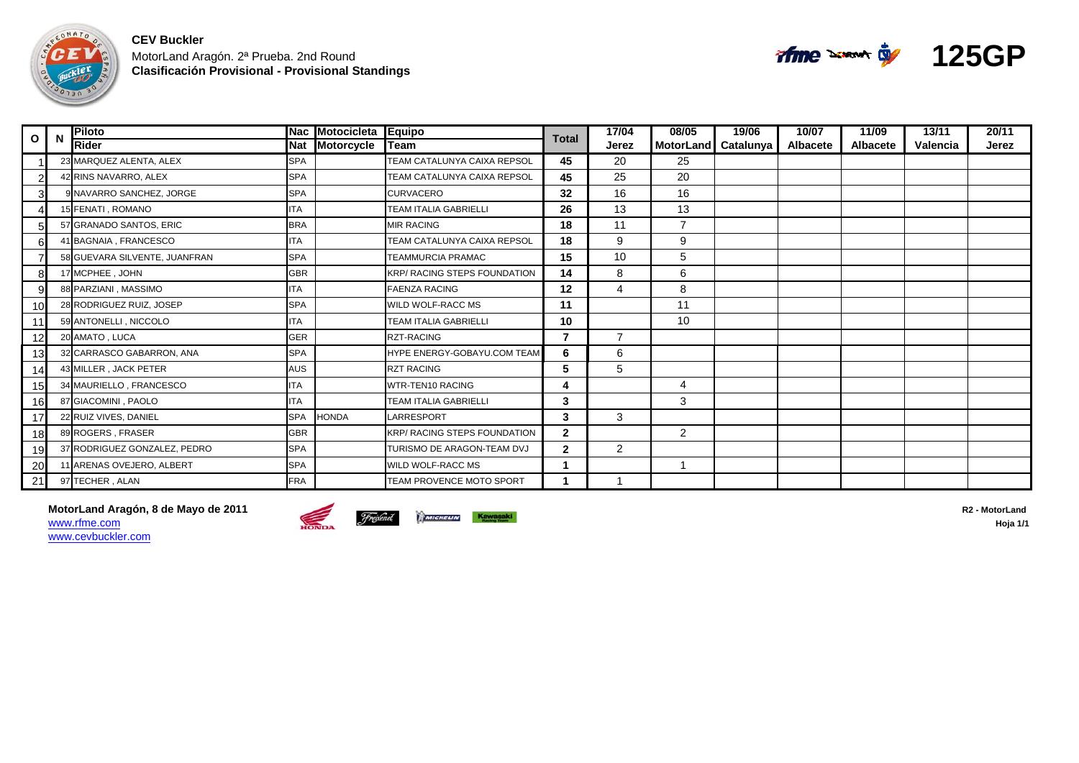

| O  | N | Piloto                        |            | Nac Motocicleta Equipo |                                     | <b>Total</b> | 17/04          | 08/05               | 19/06 | 10/07           | 11/09           | 13/11    | 20/11 |
|----|---|-------------------------------|------------|------------------------|-------------------------------------|--------------|----------------|---------------------|-------|-----------------|-----------------|----------|-------|
|    |   | Rider                         | <b>Nat</b> | <b>Motorcycle</b>      | <b>ITeam</b>                        |              | Jerez          | MotorLand Catalunya |       | <b>Albacete</b> | <b>Albacete</b> | Valencia | Jerez |
|    |   | 23 MARQUEZ ALENTA, ALEX       | <b>SPA</b> |                        | TEAM CATALUNYA CAIXA REPSOL         | 45           | 20             | 25                  |       |                 |                 |          |       |
|    |   | 42 RINS NAVARRO, ALEX         | <b>SPA</b> |                        | TEAM CATALUNYA CAIXA REPSOL         | 45           | 25             | 20                  |       |                 |                 |          |       |
| 3  |   | 9 NAVARRO SANCHEZ, JORGE      | <b>SPA</b> |                        | <b>CURVACERO</b>                    | 32           | 16             | 16                  |       |                 |                 |          |       |
|    |   | 15 FENATI, ROMANO             | <b>TA</b>  |                        | <b>TEAM ITALIA GABRIELLI</b>        | 26           | 13             | 13                  |       |                 |                 |          |       |
| 5  |   | 57 GRANADO SANTOS, ERIC       | <b>BRA</b> |                        | <b>MIR RACING</b>                   | 18           | 11             | 7                   |       |                 |                 |          |       |
| 6  |   | 41 BAGNAIA, FRANCESCO         | <b>TA</b>  |                        | <b>TEAM CATALUNYA CAIXA REPSOL</b>  | 18           | 9              | 9                   |       |                 |                 |          |       |
|    |   | 58 GUEVARA SILVENTE, JUANFRAN | <b>SPA</b> |                        | <b>TEAMMURCIA PRAMAC</b>            | 15           | 10             | 5                   |       |                 |                 |          |       |
| 8  |   | 17 MCPHEE, JOHN               | <b>GBR</b> |                        | <b>KRP/ RACING STEPS FOUNDATION</b> | 14           | 8              | 6                   |       |                 |                 |          |       |
| 9  |   | 88 PARZIANI, MASSIMO          | ITA        |                        | <b>FAENZA RACING</b>                | 12           | 4              | 8                   |       |                 |                 |          |       |
| 10 |   | 28 RODRIGUEZ RUIZ, JOSEP      | <b>SPA</b> |                        | WILD WOLF-RACC MS                   | 11           |                | 11                  |       |                 |                 |          |       |
| 11 |   | 59 ANTONELLI, NICCOLO         | TA         |                        | <b>TEAM ITALIA GABRIELLI</b>        | 10           |                | 10                  |       |                 |                 |          |       |
| 12 |   | 20 AMATO, LUCA                | <b>GER</b> |                        | <b>RZT-RACING</b>                   | 7            | $\overline{7}$ |                     |       |                 |                 |          |       |
| 13 |   | 32 CARRASCO GABARRON, ANA     | <b>SPA</b> |                        | <b>HYPE ENERGY-GOBAYU.COM TEAM</b>  | 6            | 6              |                     |       |                 |                 |          |       |
| 14 |   | 43 MILLER . JACK PETER        | AUS        |                        | <b>RZT RACING</b>                   | 5            | 5              |                     |       |                 |                 |          |       |
| 15 |   | 34 MAURIELLO, FRANCESCO       | <b>ITA</b> |                        | <b>WTR-TEN10 RACING</b>             |              |                | 4                   |       |                 |                 |          |       |
| 16 |   | 87 GIACOMINI, PAOLO           | <b>ITA</b> |                        | <b>TEAM ITALIA GABRIELLI</b>        | 3            |                | 3                   |       |                 |                 |          |       |
| 17 |   | 22 RUIZ VIVES, DANIEL         | <b>SPA</b> | <b>HONDA</b>           | LARRESPORT                          | 3            | 3              |                     |       |                 |                 |          |       |
| 18 |   | 89 ROGERS, FRASER             | <b>GBR</b> |                        | <b>KRP/ RACING STEPS FOUNDATION</b> | $\mathbf{2}$ |                | $\overline{2}$      |       |                 |                 |          |       |
| 19 |   | 37 RODRIGUEZ GONZALEZ, PEDRO  | <b>SPA</b> |                        | TURISMO DE ARAGON-TEAM DVJ          | $\mathbf{2}$ | 2              |                     |       |                 |                 |          |       |
| 20 |   | 11 ARENAS OVEJERO, ALBERT     | <b>SPA</b> |                        | <b>WILD WOLF-RACC MS</b>            |              |                |                     |       |                 |                 |          |       |
| 21 |   | 97 TECHER, ALAN               | <b>FRA</b> |                        | TEAM PROVENCE MOTO SPORT            |              |                |                     |       |                 |                 |          |       |

**MotorLand Aragón, 8 de Mayo de 2011 R2 - MotorLand**  www.rfme.com**hoja** Hoja 1/1 www.cevbuckler.com



**125GP**

**Afme** some to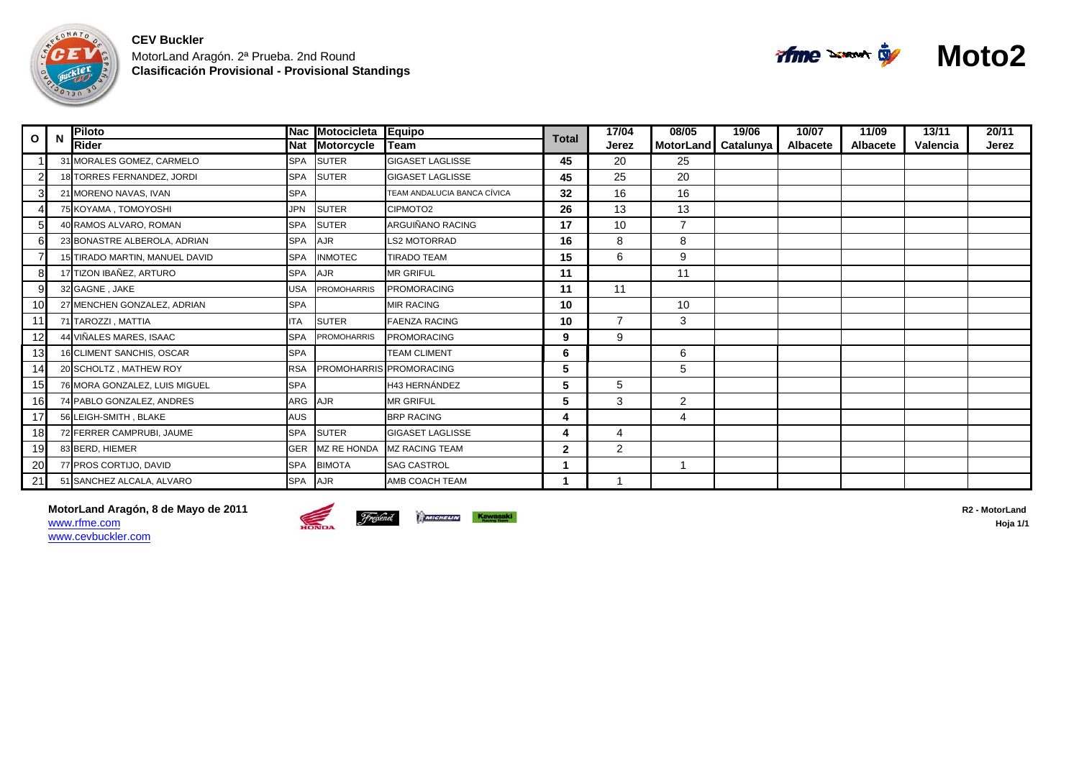

| $\mathbf{o}$    | N | <b>Piloto</b>                  |            | Nac Motocicleta Equipo |                                | <b>Total</b> | 17/04          | 08/05            | 19/06     | 10/07           | 11/09           | 13/11    | 20/11 |
|-----------------|---|--------------------------------|------------|------------------------|--------------------------------|--------------|----------------|------------------|-----------|-----------------|-----------------|----------|-------|
|                 |   | <b>Rider</b>                   | <b>Nat</b> | Motorcycle             | lTeam                          |              | Jerez          | <b>MotorLand</b> | Catalunya | <b>Albacete</b> | <b>Albacete</b> | Valencia | Jerez |
|                 |   | 31 MORALES GOMEZ, CARMELO      | <b>SPA</b> | <b>SUTER</b>           | <b>GIGASET LAGLISSE</b>        | 45           | 20             | 25               |           |                 |                 |          |       |
|                 |   | 18 TORRES FERNANDEZ, JORDI     | <b>SPA</b> | <b>SUTER</b>           | <b>GIGASET LAGLISSE</b>        | 45           | 25             | 20               |           |                 |                 |          |       |
|                 |   | 21 MORENO NAVAS, IVAN          | <b>SPA</b> |                        | TEAM ANDALUCIA BANCA CÍVICA    | 32           | 16             | 16               |           |                 |                 |          |       |
|                 |   | 75 KOYAMA, TOMOYOSHI           | JPN        | <b>SUTER</b>           | CIPMOTO2                       | 26           | 13             | 13               |           |                 |                 |          |       |
| 51              |   | 40 RAMOS ALVARO, ROMAN         | <b>SPA</b> | <b>SUTER</b>           | ARGUIÑANO RACING               | 17           | 10             | $\overline{7}$   |           |                 |                 |          |       |
|                 |   | 23 BONASTRE ALBEROLA, ADRIAN   | <b>SPA</b> | AJR                    | <b>LS2 MOTORRAD</b>            | 16           | 8              | 8                |           |                 |                 |          |       |
|                 |   | 15 TIRADO MARTIN, MANUEL DAVID | <b>SPA</b> | <b>INMOTEC</b>         | <b>TIRADO TEAM</b>             | 15           | 6              | 9                |           |                 |                 |          |       |
| 8               |   | 17 TIZON IBAÑEZ, ARTURO        | <b>SPA</b> | <b>AJR</b>             | <b>MR GRIFUL</b>               | 11           |                | 11               |           |                 |                 |          |       |
| 9 <sup>l</sup>  |   | 32 GAGNE, JAKE                 | <b>USA</b> | <b>PROMOHARRIS</b>     | <b>PROMORACING</b>             | 11           | 11             |                  |           |                 |                 |          |       |
| 10 <sup>l</sup> |   | 27 MENCHEN GONZALEZ, ADRIAN    | <b>SPA</b> |                        | <b>MIR RACING</b>              | 10           |                | 10               |           |                 |                 |          |       |
|                 |   | 71 TAROZZI . MATTIA            | <b>ITA</b> | <b>SUTER</b>           | <b>FAENZA RACING</b>           | 10           | $\overline{7}$ | 3                |           |                 |                 |          |       |
| 12              |   | 44 VIÑALES MARES, ISAAC        | <b>SPA</b> | <b>PROMOHARRIS</b>     | <b>PROMORACING</b>             | 9            | 9              |                  |           |                 |                 |          |       |
| 13              |   | 16 CLIMENT SANCHIS, OSCAR      | <b>SPA</b> |                        | <b>TEAM CLIMENT</b>            | 6            |                | 6                |           |                 |                 |          |       |
| 14              |   | 20 SCHOLTZ, MATHEW ROY         | <b>RSA</b> |                        | <b>PROMOHARRIS PROMORACING</b> | 5            |                | 5                |           |                 |                 |          |       |
| 15              |   | 76 MORA GONZALEZ, LUIS MIGUEL  | <b>SPA</b> |                        | <b>H43 HERNÁNDEZ</b>           | 5            | 5              |                  |           |                 |                 |          |       |
| 16              |   | 74 PABLO GONZALEZ, ANDRES      | ARG        | <b>AJR</b>             | <b>MR GRIFUL</b>               | 5            | 3              | $\overline{2}$   |           |                 |                 |          |       |
| 17              |   | 56 LEIGH-SMITH, BLAKE          | <b>AUS</b> |                        | <b>BRP RACING</b>              | 4            |                | 4                |           |                 |                 |          |       |
| 18              |   | 72 FERRER CAMPRUBI, JAUME      | <b>SPA</b> | <b>SUTER</b>           | <b>GIGASET LAGLISSE</b>        | 4            | 4              |                  |           |                 |                 |          |       |
| 19              |   | 83 BERD, HIEMER                | <b>GER</b> | <b>MZ RE HONDA</b>     | <b>MZ RACING TEAM</b>          | $\mathbf{2}$ | $\overline{2}$ |                  |           |                 |                 |          |       |
| 20              |   | 77 PROS CORTIJO, DAVID         | <b>SPA</b> | <b>BIMOTA</b>          | <b>SAG CASTROL</b>             |              |                |                  |           |                 |                 |          |       |
| 21              |   | 51 SANCHEZ ALCALA, ALVARO      | <b>SPA</b> | <b>AJR</b>             | AMB COACH TEAM                 |              |                |                  |           |                 |                 |          |       |

**MotorLand Aragón, 8 de Mayo de 2011 R2 - MotorLand**  www.rfme.com**hoja** Hoja 1/1 www.cevbuckler.com





**Moto2**

of the same of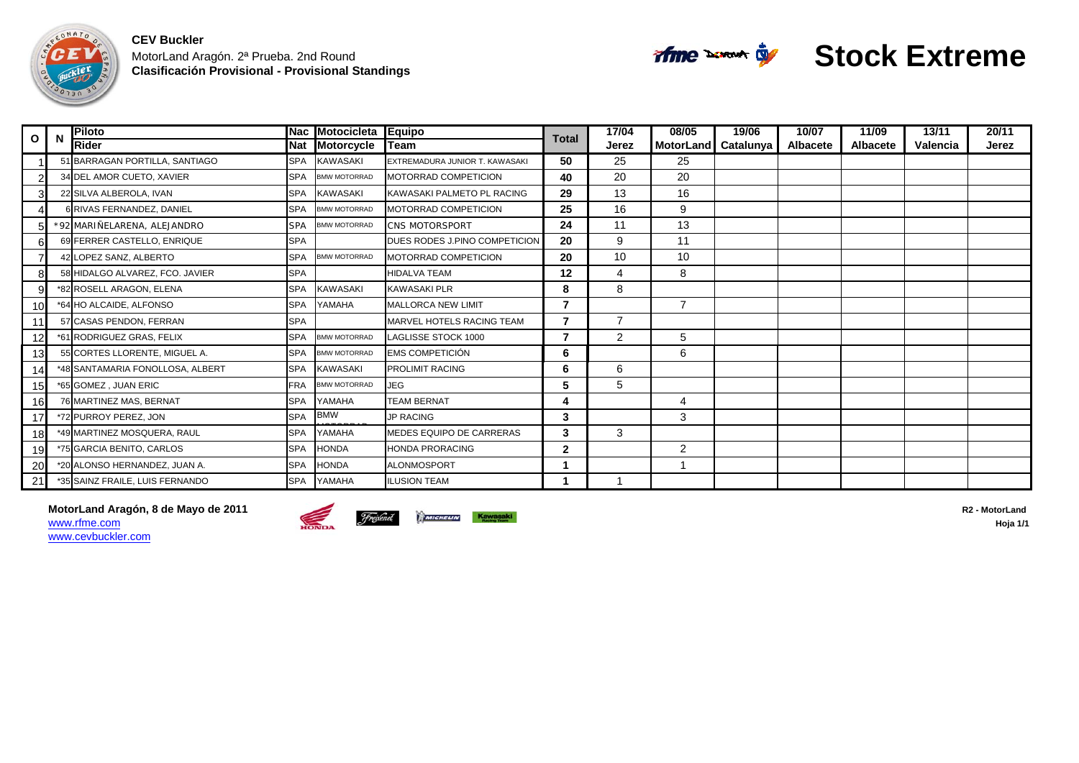



# **Stock Extreme**

| $\circ$ $\mathsf{l}$ | <b>N</b> | <b>Piloto</b>                    |            | Nac Motocicleta     | <b>Equipo</b>                  | <b>Total</b>   | 17/04          | 08/05               | 19/06 | 10/07           | 11/09           | 13/11    | 20/11 |
|----------------------|----------|----------------------------------|------------|---------------------|--------------------------------|----------------|----------------|---------------------|-------|-----------------|-----------------|----------|-------|
|                      |          | Rider                            | <b>Nat</b> | <b>Motorcycle</b>   | Team                           |                | Jerez          | MotorLand Catalunya |       | <b>Albacete</b> | <b>Albacete</b> | Valencia | Jerez |
|                      |          | 51 BARRAGAN PORTILLA, SANTIAGO   | <b>SPA</b> | <b>KAWASAKI</b>     | EXTREMADURA JUNIOR T. KAWASAKI | 50             | 25             | 25                  |       |                 |                 |          |       |
|                      |          | 34 DEL AMOR CUETO, XAVIER        | <b>SPA</b> | <b>BMW MOTORRAD</b> | MOTORRAD COMPETICION           | 40             | 20             | 20                  |       |                 |                 |          |       |
|                      |          | 22 SILVA ALBEROLA, IVAN          | <b>SPA</b> | <b>KAWASAKI</b>     | KAWASAKI PALMETO PL RACING     | 29             | 13             | 16                  |       |                 |                 |          |       |
|                      |          | <b>RIVAS FERNANDEZ, DANIEL</b>   | <b>SPA</b> | <b>BMW MOTORRAD</b> | MOTORRAD COMPETICION           | 25             | 16             | 9                   |       |                 |                 |          |       |
|                      |          | *92 MARIÑELARENA, ALEJANDRO      | <b>SPA</b> | <b>BMW MOTORRAD</b> | <b>CNS MOTORSPORT</b>          | 24             | 11             | 13                  |       |                 |                 |          |       |
| 6                    |          | 69 FERRER CASTELLO, ENRIQUE      | <b>SPA</b> |                     | DUES RODES J.PINO COMPETICION  | 20             | 9              | 11                  |       |                 |                 |          |       |
|                      |          | 42 LOPEZ SANZ, ALBERTO           | <b>SPA</b> | <b>BMW MOTORRAD</b> | MOTORRAD COMPETICION           | 20             | 10             | 10                  |       |                 |                 |          |       |
|                      |          | 58 HIDALGO ALVAREZ, FCO, JAVIER  | <b>SPA</b> |                     | <b>HIDALVA TEAM</b>            | 12             | $\overline{4}$ | 8                   |       |                 |                 |          |       |
|                      |          | *82 ROSELL ARAGON, ELENA         | <b>SPA</b> | <b>KAWASAKI</b>     | <b>KAWASAKI PLR</b>            | 8              | 8              |                     |       |                 |                 |          |       |
| 10                   |          | *64 HO ALCAIDE, ALFONSO          | <b>SPA</b> | YAMAHA              | <b>MALLORCA NEW LIMIT</b>      | $\overline{7}$ |                | $\overline{7}$      |       |                 |                 |          |       |
| 11                   |          | 57 CASAS PENDON, FERRAN          | <b>SPA</b> |                     | MARVEL HOTELS RACING TEAM      | $\overline{7}$ | $\overline{7}$ |                     |       |                 |                 |          |       |
|                      |          | *61 RODRIGUEZ GRAS, FELIX        | <b>SPA</b> | <b>BMW MOTORRAD</b> | <b>LAGLISSE STOCK 1000</b>     | $\overline{7}$ | 2              | 5                   |       |                 |                 |          |       |
| 13                   |          | 55 CORTES LLORENTE, MIGUEL A.    | <b>SPA</b> | <b>BMW MOTORRAD</b> | <b>EMS COMPETICIÓN</b>         | 6              |                | 6                   |       |                 |                 |          |       |
| 14                   |          | *48 SANTAMARIA FONOLLOSA, ALBERT | <b>SPA</b> | <b>KAWASAKI</b>     | PROLIMIT RACING                | 6              | 6              |                     |       |                 |                 |          |       |
| 15                   |          | *65 GOMEZ, JUAN ERIC             | <b>FRA</b> | <b>BMW MOTORRAD</b> | <b>JEG</b>                     | 5              | 5              |                     |       |                 |                 |          |       |
| 16                   |          | 76 MARTINEZ MAS, BERNAT          | <b>SPA</b> | YAMAHA              | <b>TEAM BERNAT</b>             | 4              |                |                     |       |                 |                 |          |       |
| 17                   |          | *72 PURROY PEREZ, JON            | <b>SPA</b> | <b>BMW</b>          | <b>JP RACING</b>               | 3              |                | 3                   |       |                 |                 |          |       |
| 18                   |          | *49 MARTINEZ MOSQUERA, RAUL      | <b>SPA</b> | YAMAHA              | MEDES EQUIPO DE CARRERAS       | $\mathbf{3}$   | 3              |                     |       |                 |                 |          |       |
| 19                   |          | *75 GARCIA BENITO, CARLOS        | <b>SPA</b> | <b>HONDA</b>        | <b>HONDA PRORACING</b>         | $\mathbf{2}$   |                | 2                   |       |                 |                 |          |       |
| 20                   |          | *20 ALONSO HERNANDEZ, JUAN A.    | <b>SPA</b> | <b>HONDA</b>        | ALONMOSPORT                    |                |                |                     |       |                 |                 |          |       |
| 21                   |          | *35 SAINZ FRAILE, LUIS FERNANDO  | <b>SPA</b> | YAMAHA              | <b>ILUSION TEAM</b>            |                |                |                     |       |                 |                 |          |       |

**MotorLand Aragón, 8 de Mayo de 2011 R2 - MotorLand**  www.rfme.comwww.cevbuckler.com

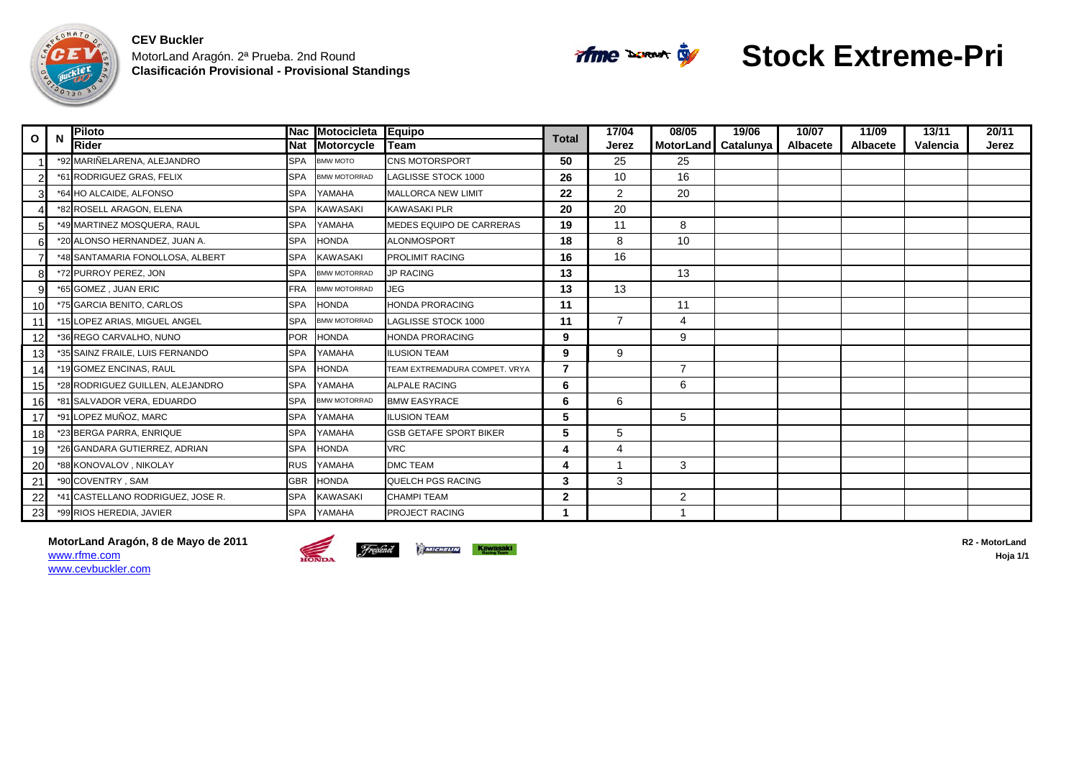



# **Stock Extreme-Pri**

| $\mathbf{o}$ | N | <b>Piloto</b>                     |            | Nac Motocicleta     | Equipo                        | <b>Total</b> | 17/04          | 08/05               | 19/06 | 10/07           | 11/09           | 13/11    | 20/11 |
|--------------|---|-----------------------------------|------------|---------------------|-------------------------------|--------------|----------------|---------------------|-------|-----------------|-----------------|----------|-------|
|              |   | Rider                             | Nat        | <b>Motorcycle</b>   | lTeam                         |              | Jerez          | MotorLand Catalunya |       | <b>Albacete</b> | <b>Albacete</b> | Valencia | Jerez |
|              |   | *92 MARIÑELARENA, ALEJANDRO       | <b>SPA</b> | BMW MOTO            | <b>CNS MOTORSPORT</b>         | 50           | 25             | 25                  |       |                 |                 |          |       |
|              |   | *61 RODRIGUEZ GRAS, FELIX         | <b>SPA</b> | <b>BMW MOTORRAD</b> | LAGLISSE STOCK 1000           | 26           | 10             | 16                  |       |                 |                 |          |       |
|              |   | *64 HO ALCAIDE, ALFONSO           | <b>SPA</b> | YAMAHA              | <b>MALLORCA NEW LIMIT</b>     | 22           | $\overline{2}$ | 20                  |       |                 |                 |          |       |
|              |   | *82 ROSELL ARAGON, ELENA          | <b>SPA</b> | <b>KAWASAKI</b>     | <b>KAWASAKI PLR</b>           | 20           | 20             |                     |       |                 |                 |          |       |
|              |   | *49 MARTINEZ MOSQUERA, RAUL       | <b>SPA</b> | YAMAHA              | MEDES EQUIPO DE CARRERAS      | 19           | 11             | 8                   |       |                 |                 |          |       |
|              |   | *20 ALONSO HERNANDEZ, JUAN A.     | <b>SPA</b> | <b>HONDA</b>        | <b>ALONMOSPORT</b>            | 18           | 8              | 10                  |       |                 |                 |          |       |
|              |   | *48 SANTAMARIA FONOLLOSA, ALBERT  | <b>SPA</b> | KAWASAKI            | <b>PROLIMIT RACING</b>        | 16           | 16             |                     |       |                 |                 |          |       |
|              |   | *72 PURROY PEREZ, JON             | <b>SPA</b> | <b>BMW MOTORRAD</b> | <b>JP RACING</b>              | 13           |                | 13                  |       |                 |                 |          |       |
| g            |   | *65 GOMEZ, JUAN ERIC              | <b>FRA</b> | <b>BMW MOTORRAD</b> | <b>JEG</b>                    | 13           | 13             |                     |       |                 |                 |          |       |
| <b>10</b>    |   | *75 GARCIA BENITO, CARLOS         | <b>SPA</b> | <b>HONDA</b>        | <b>HONDA PRORACING</b>        | 11           |                | 11                  |       |                 |                 |          |       |
|              |   | *15 LOPEZ ARIAS. MIGUEL ANGEL     | <b>SPA</b> | <b>BMW MOTORRAD</b> | LAGLISSE STOCK 1000           | 11           | $\overline{7}$ | 4                   |       |                 |                 |          |       |
|              |   | *36 REGO CARVALHO, NUNO           | <b>POR</b> | <b>HONDA</b>        | <b>HONDA PRORACING</b>        | 9            |                | 9                   |       |                 |                 |          |       |
| 13           |   | *35 SAINZ FRAILE, LUIS FERNANDO   | <b>SPA</b> | YAMAHA              | <b>ILUSION TEAM</b>           | 9            | 9              |                     |       |                 |                 |          |       |
| 14           |   | *19 GOMEZ ENCINAS, RAUL           | <b>SPA</b> | <b>HONDA</b>        | TEAM EXTREMADURA COMPET. VRYA | 7            |                | $\overline{7}$      |       |                 |                 |          |       |
| 15           |   | *28 RODRIGUEZ GUILLEN, ALEJANDRO  | <b>SPA</b> | YAMAHA              | <b>ALPALE RACING</b>          | 6            |                | 6                   |       |                 |                 |          |       |
| 16           |   | *81 SALVADOR VERA, EDUARDO        | <b>SPA</b> | <b>BMW MOTORRAD</b> | <b>BMW EASYRACE</b>           | 6            | 6              |                     |       |                 |                 |          |       |
| 17           |   | *91 LOPEZ MUÑOZ, MARC             | <b>SPA</b> | YAMAHA              | <b>ILUSION TEAM</b>           | 5            |                | 5                   |       |                 |                 |          |       |
| 18           |   | *23 BERGA PARRA, ENRIQUE          | <b>SPA</b> | YAMAHA              | <b>GSB GETAFE SPORT BIKER</b> | 5            | 5              |                     |       |                 |                 |          |       |
| 19           |   | *26 GANDARA GUTIERREZ, ADRIAN     | <b>SPA</b> | <b>HONDA</b>        | <b>VRC</b>                    | 4            | 4              |                     |       |                 |                 |          |       |
| 20           |   | *88 KONOVALOV, NIKOLAY            | <b>RUS</b> | YAMAHA              | <b>DMC TEAM</b>               | 4            | $\mathbf 1$    | 3                   |       |                 |                 |          |       |
| 21           |   | *90 COVENTRY, SAM                 | <b>GBR</b> | <b>HONDA</b>        | QUELCH PGS RACING             | 3            | 3              |                     |       |                 |                 |          |       |
| 22           |   | *41 CASTELLANO RODRIGUEZ. JOSE R. | <b>SPA</b> | <b>KAWASAKI</b>     | <b>CHAMPI TEAM</b>            | 2            |                | 2                   |       |                 |                 |          |       |
| 23           |   | *99 RIOS HEREDIA, JAVIER          | <b>SPA</b> | YAMAHA              | <b>PROJECT RACING</b>         |              |                |                     |       |                 |                 |          |       |

**MotorLand Aragón, 8 de Mayo de 2011** R2 - MotorLand **Prevented Aragón, 8 de Mayo de 2011 R2 - MotorLand Prevented By Artiched Contracted R2 - MotorLand By Aragonical Prevention** www.rfme.com**hoja 1/1 Hoja 1/1 Hoja 1/1** www.cevbuckler.com

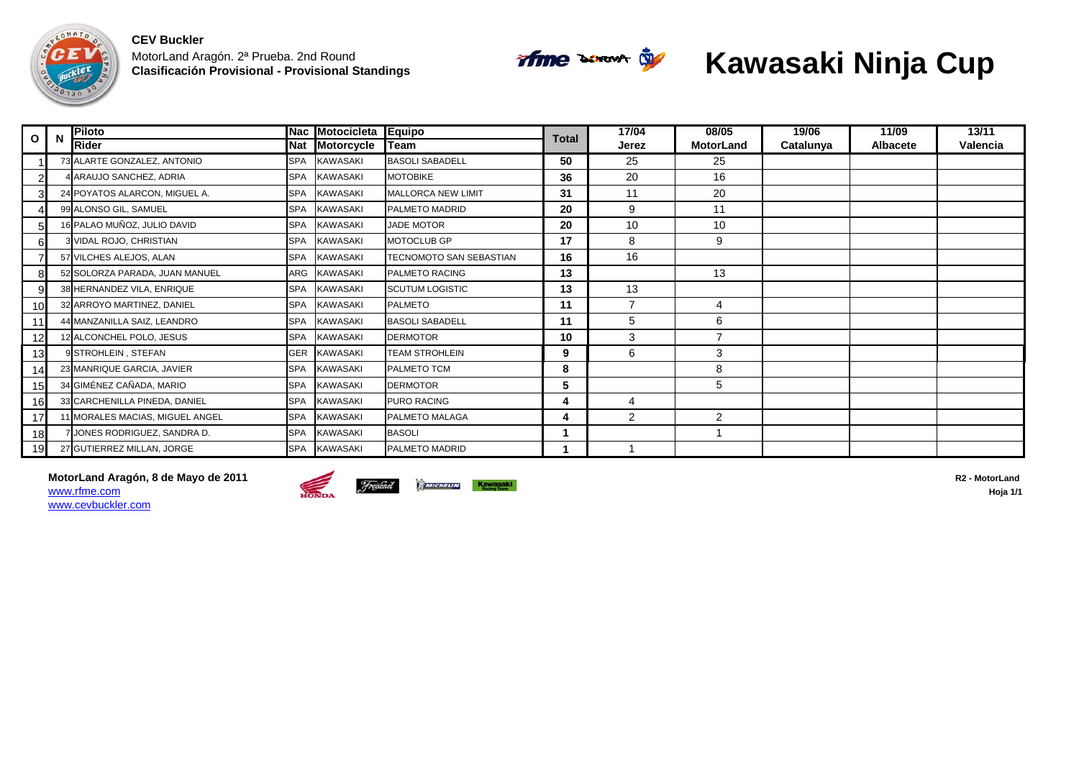



# **Kawasaki Ninja Cup**

| $\mathbf{o}$    | <b>Piloto</b>                  | <b>Nac</b> | <b>Motocicleta</b> | Equipo                         | <b>Total</b> | 17/04          | 08/05            | 19/06     | 11/09           | 13/11    |
|-----------------|--------------------------------|------------|--------------------|--------------------------------|--------------|----------------|------------------|-----------|-----------------|----------|
|                 | <b>Rider</b>                   | <b>Nat</b> | <b>Motorcycle</b>  | Team                           |              | Jerez          | <b>MotorLand</b> | Catalunya | <b>Albacete</b> | Valencia |
|                 | 73 ALARTE GONZALEZ, ANTONIO    | <b>SPA</b> | <b>KAWASAKI</b>    | <b>BASOLI SABADELL</b>         | 50           | 25             | 25               |           |                 |          |
|                 | 4 ARAUJO SANCHEZ, ADRIA        | <b>SPA</b> | KAWASAKI           | <b>MOTOBIKE</b>                | 36           | 20             | 16               |           |                 |          |
|                 | 24 POYATOS ALARCON, MIGUEL A.  | <b>SPA</b> | KAWASAKI           | <b>MALLORCA NEW LIMIT</b>      | 31           | 11             | 20               |           |                 |          |
|                 | 99 ALONSO GIL, SAMUEL          | <b>SPA</b> | <b>KAWASAKI</b>    | PALMETO MADRID                 | 20           | 9              | 11               |           |                 |          |
| 5               | 16 PALAO MUÑOZ, JULIO DAVID    | <b>SPA</b> | <b>KAWASAKI</b>    | <b>JADE MOTOR</b>              | 20           | 10             | 10               |           |                 |          |
| 61              | 3 VIDAL ROJO, CHRISTIAN        | <b>SPA</b> | <b>KAWASAKI</b>    | <b>MOTOCLUB GP</b>             | 17           | 8              | 9                |           |                 |          |
|                 | 57 VILCHES ALEJOS, ALAN        | <b>SPA</b> | <b>KAWASAKI</b>    | <b>TECNOMOTO SAN SEBASTIAN</b> | 16           | 16             |                  |           |                 |          |
|                 | 52 SOLORZA PARADA, JUAN MANUEL | ARG        | <b>KAWASAKI</b>    | <b>PALMETO RACING</b>          | 13           |                | 13               |           |                 |          |
| 9               | 38 HERNANDEZ VILA, ENRIQUE     | <b>SPA</b> | <b>KAWASAKI</b>    | <b>SCUTUM LOGISTIC</b>         | 13           | 13             |                  |           |                 |          |
| 10              | 32 ARROYO MARTINEZ, DANIEL     | <b>SPA</b> | <b>KAWASAKI</b>    | <b>PALMETO</b>                 | 11           | 7              | 4                |           |                 |          |
|                 | 44 MANZANILLA SAIZ, LEANDRO    | <b>SPA</b> | KAWASAKI           | <b>BASOLI SABADELL</b>         | 11           | 5              | 6                |           |                 |          |
| 12              | 12 ALCONCHEL POLO, JESUS       | <b>SPA</b> | KAWASAKI           | <b>DERMOTOR</b>                | 10           | 3              | 7                |           |                 |          |
| 13              | 9 STROHLEIN, STEFAN            | GER        | KAWASAKI           | <b>TEAM STROHLEIN</b>          | 9            | 6              | 3                |           |                 |          |
| 14              | 23 MANRIQUE GARCIA, JAVIER     | <b>SPA</b> | <b>KAWASAKI</b>    | PALMETO TCM                    | 8            |                | 8                |           |                 |          |
| 15              | 34 GIMÉNEZ CAÑADA, MARIO       | <b>SPA</b> | <b>KAWASAKI</b>    | <b>DERMOTOR</b>                | 5            |                | 5                |           |                 |          |
| 16              | 33 CARCHENILLA PINEDA, DANIEL  | <b>SPA</b> | <b>KAWASAKI</b>    | <b>PURO RACING</b>             | 4            | $\overline{4}$ |                  |           |                 |          |
| 17 <sup>1</sup> | 1 MORALES MACIAS, MIGUEL ANGEL | <b>SPA</b> | <b>KAWASAKI</b>    | PALMETO MALAGA                 | 4            | 2              | $\overline{2}$   |           |                 |          |
| 18              | 7 JONES RODRIGUEZ, SANDRA D.   | <b>SPA</b> | <b>KAWASAKI</b>    | <b>BASOLI</b>                  |              |                |                  |           |                 |          |
| 19              | 27 GUTIERREZ MILLAN, JORGE     | <b>SPA</b> | <b>KAWASAKI</b>    | PALMETO MADRID                 |              |                |                  |           |                 |          |

**MotorLand Aragón, 8 de Mayo de 2011** R2 - MotorLand **Freichel Constantino Constantino Constantino Constantino Constantino Constantino Constantino Constantino Constantino R2 - MotorLand Hoja 1/1** www.rfme.com





www.cevbuckler.com

**Hoja 1/1**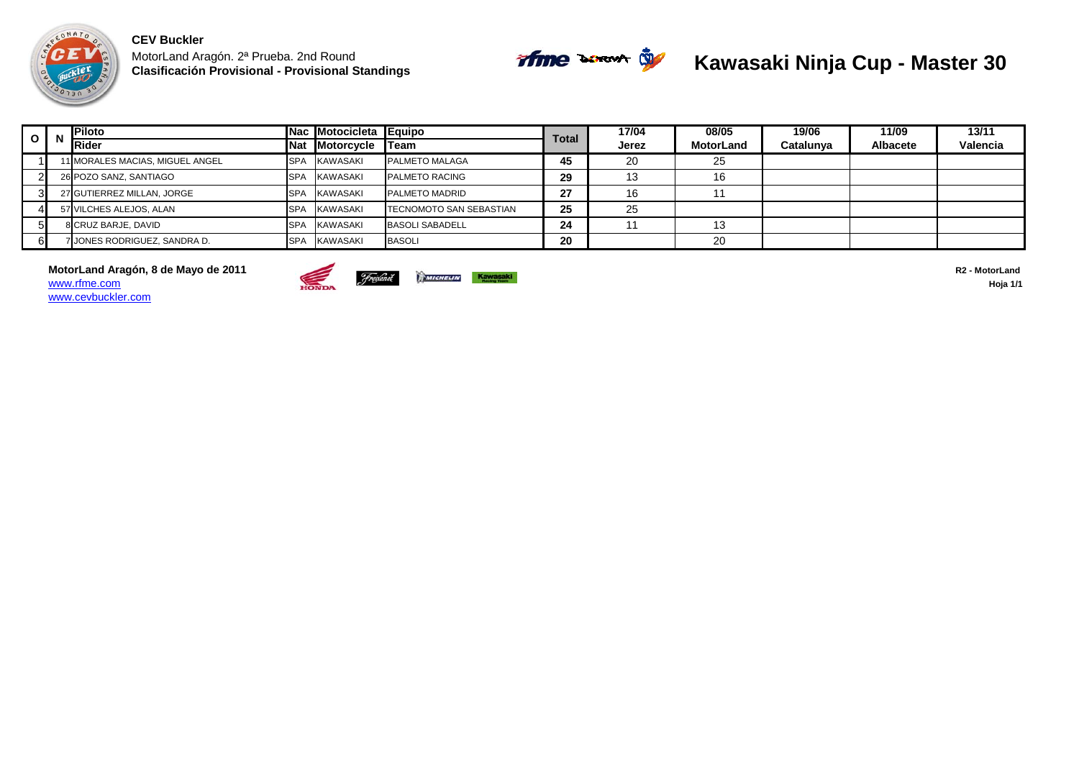



#### **Kawasaki Ninja Cup - Master 30**

| I 0 I N | Piloto                            |            | Nac Motocicleta Equipo |                                 | <b>Total</b> | 17/04 | 08/05            | 19/06     | 11/09           | 13/11    |
|---------|-----------------------------------|------------|------------------------|---------------------------------|--------------|-------|------------------|-----------|-----------------|----------|
|         | <b>Rider</b>                      | <b>Nat</b> | <b>Motorcycle</b>      | <b>ITeam</b>                    |              | Jerez | <b>MotorLand</b> | Catalunya | <b>Albacete</b> | Valencia |
|         | 11 MORALES MACIAS, MIGUEL ANGEL   | <b>SPA</b> | KAWASAKI               | <b>PALMETO MALAGA</b>           | 45           | 20    | 25               |           |                 |          |
|         | 26 POZO SANZ, SANTIAGO            | <b>SPA</b> | KAWASAKI               | <b>PALMETO RACING</b>           | 29           | 13    | 16               |           |                 |          |
|         | 27 GUTIERREZ MILLAN, JORGE        | <b>SPA</b> | <b>KAWASAKI</b>        | <b>PALMETO MADRID</b>           | 27           | 16    |                  |           |                 |          |
|         | 57 VILCHES ALEJOS, ALAN           | <b>SPA</b> | KAWASAKI               | <b>ITECNOMOTO SAN SEBASTIAN</b> | 25           | 25    |                  |           |                 |          |
|         | 8 CRUZ BARJE, DAVID               | SPA        | KAWASAKI               | <b>BASOLI SABADELL</b>          | 24           |       | -4.0             |           |                 |          |
|         | <b>JONES RODRIGUEZ. SANDRA D.</b> | <b>SPA</b> | KAWASAKI               | <b>BASOLI</b>                   | 20           |       | 20               |           |                 |          |

**MotorLand Aragón, 8 de Mayo de 2011 R2 - MotorLand** *Freiene* **Contract de Casacción de 2011 regional de Casacción de 2011 regional de Casacción de Casacción de 2011 regional de Casacción de Casacción de Casacción de Casa** www.rfme.com**Holding Holding Hoja 1/1** www.cevbuckler.com